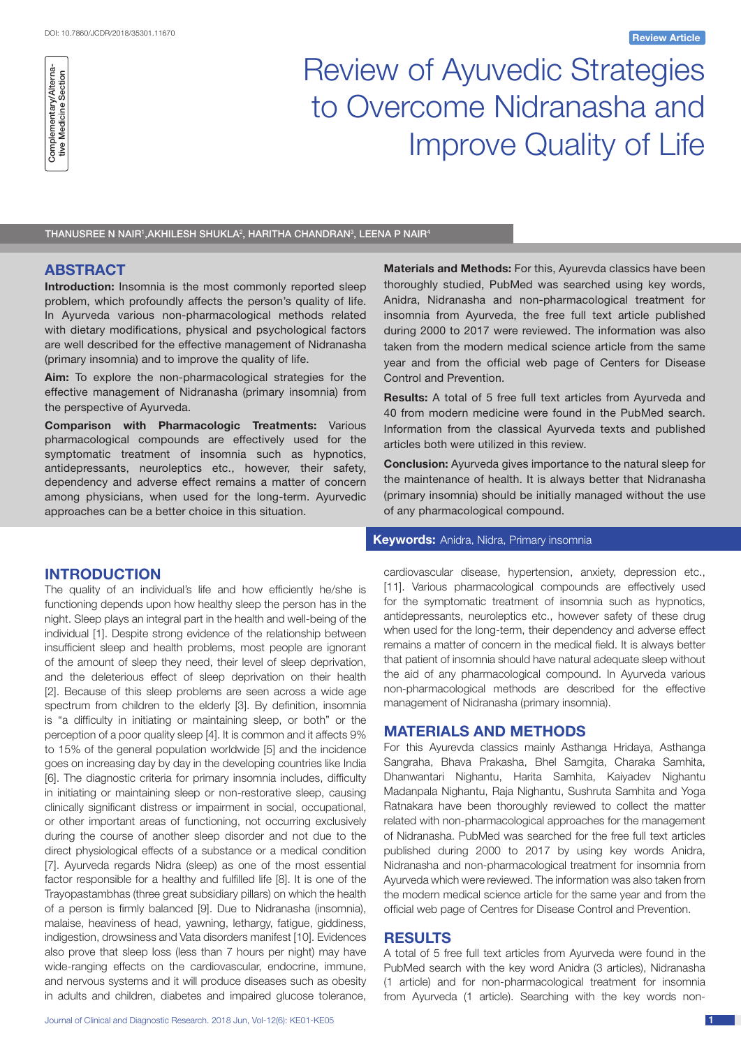

# Review of Ayuvedic Strategies to Overcome Nidranasha and Improve Quality of Life

THANUSREE N NAIR',AKHILESH SHUKLA $^2$ , HARITHA CHANDRAN $^3\!$ , LEENA P NAIR $^4$ 

## **ABSTRACT**

**Introduction:** Insomnia is the most commonly reported sleep problem, which profoundly affects the person's quality of life. In Ayurveda various non-pharmacological methods related with dietary modifications, physical and psychological factors are well described for the effective management of Nidranasha (primary insomnia) and to improve the quality of life.

**Aim:** To explore the non-pharmacological strategies for the effective management of Nidranasha (primary insomnia) from the perspective of Ayurveda.

**Comparison with Pharmacologic Treatments:** Various pharmacological compounds are effectively used for the symptomatic treatment of insomnia such as hypnotics, antidepressants, neuroleptics etc., however, their safety, dependency and adverse effect remains a matter of concern among physicians, when used for the long-term. Ayurvedic approaches can be a better choice in this situation.

## **INTRODUCTION**

The quality of an individual's life and how efficiently he/she is functioning depends upon how healthy sleep the person has in the night. Sleep plays an integral part in the health and well-being of the individual [1]. Despite strong evidence of the relationship between insufficient sleep and health problems, most people are ignorant of the amount of sleep they need, their level of sleep deprivation, and the deleterious effect of sleep deprivation on their health [2]. Because of this sleep problems are seen across a wide age spectrum from children to the elderly [3]. By definition, insomnia is "a difficulty in initiating or maintaining sleep, or both" or the perception of a poor quality sleep [4]. It is common and it affects 9% to 15% of the general population worldwide [5] and the incidence goes on increasing day by day in the developing countries like India [6]. The diagnostic criteria for primary insomnia includes, difficulty in initiating or maintaining sleep or non-restorative sleep, causing clinically significant distress or impairment in social, occupational, or other important areas of functioning, not occurring exclusively during the course of another sleep disorder and not due to the direct physiological effects of a substance or a medical condition [7]. Ayurveda regards Nidra (sleep) as one of the most essential factor responsible for a healthy and fulfilled life [8]. It is one of the Trayopastambhas (three great subsidiary pillars) on which the health of a person is firmly balanced [9]. Due to Nidranasha (insomnia), malaise, heaviness of head, yawning, lethargy, fatigue, giddiness, indigestion, drowsiness and Vata disorders manifest [10]. Evidences also prove that sleep loss (less than 7 hours per night) may have wide-ranging effects on the cardiovascular, endocrine, immune, and nervous systems and it will produce diseases such as obesity in adults and children, diabetes and impaired glucose tolerance,

**Materials and Methods:** For this, Ayurevda classics have been thoroughly studied, PubMed was searched using key words, Anidra, Nidranasha and non-pharmacological treatment for insomnia from Ayurveda, the free full text article published during 2000 to 2017 were reviewed. The information was also taken from the modern medical science article from the same year and from the official web page of Centers for Disease Control and Prevention.

**Results:** A total of 5 free full text articles from Ayurveda and 40 from modern medicine were found in the PubMed search. Information from the classical Ayurveda texts and published articles both were utilized in this review.

**Conclusion:** Ayurveda gives importance to the natural sleep for the maintenance of health. It is always better that Nidranasha (primary insomnia) should be initially managed without the use of any pharmacological compound.

#### **Keywords:** Anidra, Nidra, Primary insomnia

cardiovascular disease, hypertension, anxiety, depression etc., [11]. Various pharmacological compounds are effectively used for the symptomatic treatment of insomnia such as hypnotics, antidepressants, neuroleptics etc., however safety of these drug when used for the long-term, their dependency and adverse effect remains a matter of concern in the medical field. It is always better that patient of insomnia should have natural adequate sleep without the aid of any pharmacological compound. In Ayurveda various non-pharmacological methods are described for the effective management of Nidranasha (primary insomnia).

#### **MATERIALS AND METHODS**

For this Ayurevda classics mainly Asthanga Hridaya, Asthanga Sangraha, Bhava Prakasha, Bhel Samgita, Charaka Samhita, Dhanwantari Nighantu, Harita Samhita, Kaiyadev Nighantu Madanpala Nighantu, Raja Nighantu, Sushruta Samhita and Yoga Ratnakara have been thoroughly reviewed to collect the matter related with non-pharmacological approaches for the management of Nidranasha. PubMed was searched for the free full text articles published during 2000 to 2017 by using key words Anidra, Nidranasha and non-pharmacological treatment for insomnia from Ayurveda which were reviewed. The information was also taken from the modern medical science article for the same year and from the official web page of Centres for Disease Control and Prevention.

#### **RESULTS**

A total of 5 free full text articles from Ayurveda were found in the PubMed search with the key word Anidra (3 articles), Nidranasha (1 article) and for non-pharmacological treatment for insomnia from Ayurveda (1 article). Searching with the key words non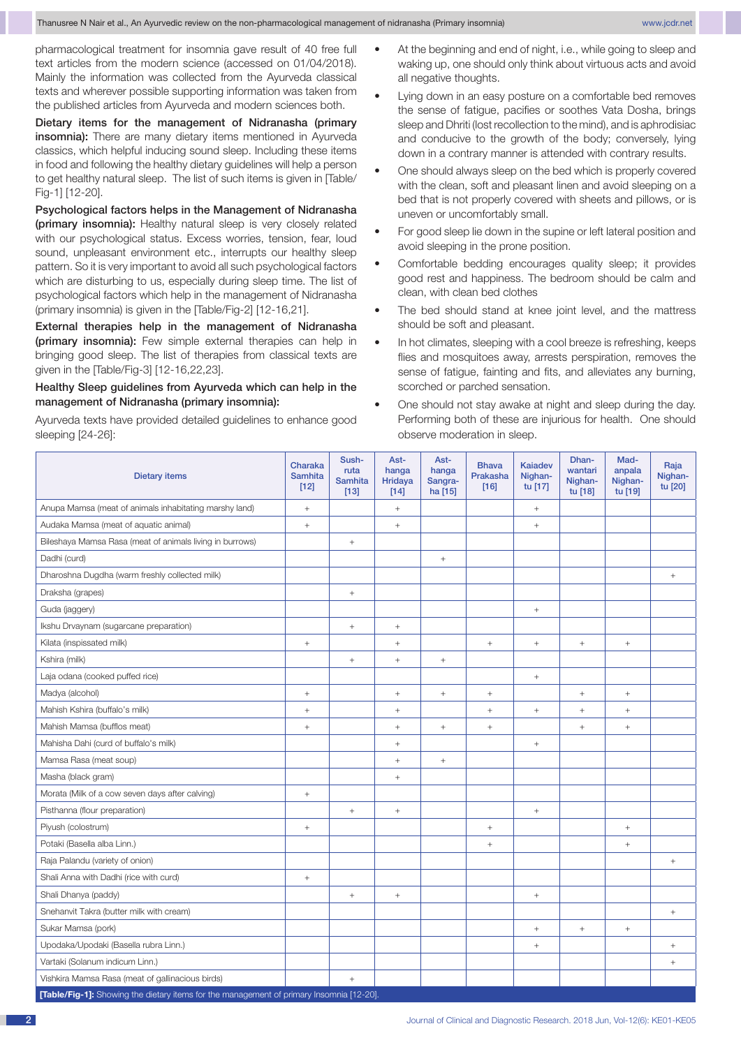pharmacological treatment for insomnia gave result of 40 free full text articles from the modern science (accessed on 01/04/2018). Mainly the information was collected from the Ayurveda classical texts and wherever possible supporting information was taken from the published articles from Ayurveda and modern sciences both.

Dietary items for the management of Nidranasha (primary insomnia): There are many dietary items mentioned in Ayurveda classics, which helpful inducing sound sleep. Including these items in food and following the healthy dietary guidelines will help a person to get healthy natural sleep. The list of such items is given in [Table/ Fig-1] [12-20].

Psychological factors helps in the Management of Nidranasha (primary insomnia): Healthy natural sleep is very closely related with our psychological status. Excess worries, tension, fear, loud sound, unpleasant environment etc., interrupts our healthy sleep pattern. So it is very important to avoid all such psychological factors which are disturbing to us, especially during sleep time. The list of psychological factors which help in the management of Nidranasha (primary insomnia) is given in the [Table/Fig-2] [12-16,21].

External therapies help in the management of Nidranasha (primary insomnia): Few simple external therapies can help in bringing good sleep. The list of therapies from classical texts are given in the [Table/Fig-3] [12-16,22,23].

#### Healthy Sleep guidelines from Ayurveda which can help in the management of Nidranasha (primary insomnia):

Ayurveda texts have provided detailed guidelines to enhance good sleeping [24-26]:

- At the beginning and end of night, i.e., while going to sleep and waking up, one should only think about virtuous acts and avoid all negative thoughts.
- Lying down in an easy posture on a comfortable bed removes the sense of fatigue, pacifies or soothes Vata Dosha, brings sleep and Dhriti (lost recollection to the mind), and is aphrodisiac and conducive to the growth of the body; conversely, lying down in a contrary manner is attended with contrary results.
- One should always sleep on the bed which is properly covered with the clean, soft and pleasant linen and avoid sleeping on a bed that is not properly covered with sheets and pillows, or is uneven or uncomfortably small.
- For good sleep lie down in the supine or left lateral position and avoid sleeping in the prone position.
- Comfortable bedding encourages quality sleep; it provides good rest and happiness. The bedroom should be calm and clean, with clean bed clothes
- The bed should stand at knee joint level, and the mattress should be soft and pleasant.
- In hot climates, sleeping with a cool breeze is refreshing, keeps flies and mosquitoes away, arrests perspiration, removes the sense of fatigue, fainting and fits, and alleviates any burning, scorched or parched sensation.
- One should not stay awake at night and sleep during the day. Performing both of these are injurious for health. One should observe moderation in sleep.

| <b>Dietary items</b>                                                                     | Charaka<br><b>Samhita</b><br>$[12]$ | Sush-<br>ruta<br><b>Samhita</b><br>$[13]$ | Ast-<br>hanga<br>Hridaya<br>$[14]$ | Ast-<br>hanga<br>Sangra-<br>ha [15] | <b>Bhava</b><br>Prakasha<br>$[16]$ | <b>Kaiadev</b><br>Nighan-<br>tu [17] | Dhan-<br>wantari<br>Nighan-<br>tu [18] | Mad-<br>anpala<br>Nighan-<br>tu [19] | Raja<br>Nighan-<br>tu [20] |
|------------------------------------------------------------------------------------------|-------------------------------------|-------------------------------------------|------------------------------------|-------------------------------------|------------------------------------|--------------------------------------|----------------------------------------|--------------------------------------|----------------------------|
| Anupa Mamsa (meat of animals inhabitating marshy land)                                   |                                     |                                           | $^{+}$                             |                                     |                                    | $+$                                  |                                        |                                      |                            |
| Audaka Mamsa (meat of aquatic animal)                                                    | $\! + \!$                           |                                           | $^+$                               |                                     |                                    | $\! +$                               |                                        |                                      |                            |
| Bileshaya Mamsa Rasa (meat of animals living in burrows)                                 |                                     | $\boldsymbol{+}$                          |                                    |                                     |                                    |                                      |                                        |                                      |                            |
| Dadhi (curd)                                                                             |                                     |                                           |                                    | $^+$                                |                                    |                                      |                                        |                                      |                            |
| Dharoshna Dugdha (warm freshly collected milk)                                           |                                     |                                           |                                    |                                     |                                    |                                      |                                        |                                      | $+$                        |
| Draksha (grapes)                                                                         |                                     | $\! +$                                    |                                    |                                     |                                    |                                      |                                        |                                      |                            |
| Guda (jaggery)                                                                           |                                     |                                           |                                    |                                     |                                    | $\! + \!$                            |                                        |                                      |                            |
| Ikshu Drvaynam (sugarcane preparation)                                                   |                                     | $\! +$                                    | $+$                                |                                     |                                    |                                      |                                        |                                      |                            |
| Kilata (inspissated milk)                                                                | $^{+}$                              |                                           | $\! +$                             |                                     | $^{+}$                             | $\! + \!$                            | $^{+}$                                 | $\! + \!$                            |                            |
| Kshira (milk)                                                                            |                                     | $\boldsymbol{+}$                          | $^+$                               | $\! +$                              |                                    |                                      |                                        |                                      |                            |
| Laja odana (cooked puffed rice)                                                          |                                     |                                           |                                    |                                     |                                    | $\! + \!$                            |                                        |                                      |                            |
| Madya (alcohol)                                                                          |                                     |                                           | $^{+}$                             | $^{+}$                              | $^{+}$                             |                                      | $^{+}$                                 |                                      |                            |
| Mahish Kshira (buffalo's milk)                                                           | $\qquad \qquad +$                   |                                           | $^+$                               |                                     | $^{+}$                             | $^{+}$                               | $^{+}$                                 | $^{+}$                               |                            |
| Mahish Mamsa (bufflos meat)                                                              | $\! + \!$                           |                                           | $^+$                               | $^+$                                | $^{+}$                             |                                      | $+$                                    | $\! + \!$                            |                            |
| Mahisha Dahi (curd of buffalo's milk)                                                    |                                     |                                           | $^+$                               |                                     |                                    | $\! +$                               |                                        |                                      |                            |
| Mamsa Rasa (meat soup)                                                                   |                                     |                                           | $^{+}$                             | $+$                                 |                                    |                                      |                                        |                                      |                            |
| Masha (black gram)                                                                       |                                     |                                           | $+$                                |                                     |                                    |                                      |                                        |                                      |                            |
| Morata (Milk of a cow seven days after calving)                                          |                                     |                                           |                                    |                                     |                                    |                                      |                                        |                                      |                            |
| Pisthanna (flour preparation)                                                            |                                     | $\! +$                                    | $+$                                |                                     |                                    | $\! +$                               |                                        |                                      |                            |
| Piyush (colostrum)                                                                       | $\! + \!$                           |                                           |                                    |                                     | $\! + \!$                          |                                      |                                        | $\qquad \qquad +$                    |                            |
| Potaki (Basella alba Linn.)                                                              |                                     |                                           |                                    |                                     | $\! + \!$                          |                                      |                                        | $\boldsymbol{+}$                     |                            |
| Raja Palandu (variety of onion)                                                          |                                     |                                           |                                    |                                     |                                    |                                      |                                        |                                      | $\! + \!\!\!\!$            |
| Shali Anna with Dadhi (rice with curd)                                                   | $^{+}$                              |                                           |                                    |                                     |                                    |                                      |                                        |                                      |                            |
| Shali Dhanya (paddy)                                                                     |                                     | $\, +$                                    | $^+$                               |                                     |                                    | $\! +$                               |                                        |                                      |                            |
| Snehanvit Takra (butter milk with cream)                                                 |                                     |                                           |                                    |                                     |                                    |                                      |                                        |                                      | $\boldsymbol{+}$           |
| Sukar Mamsa (pork)                                                                       |                                     |                                           |                                    |                                     |                                    | $\! + \!$                            | $^{+}$                                 | $\qquad \qquad +$                    |                            |
| Upodaka/Upodaki (Basella rubra Linn.)                                                    |                                     |                                           |                                    |                                     |                                    | $\ddot{}$                            |                                        |                                      |                            |
| Vartaki (Solanum indicum Linn.)                                                          |                                     |                                           |                                    |                                     |                                    |                                      |                                        |                                      | $\! + \!\!\!\!$            |
| Vishkira Mamsa Rasa (meat of gallinacious birds)                                         |                                     | $\, +$                                    |                                    |                                     |                                    |                                      |                                        |                                      |                            |
| [Table/Fig-1]: Showing the dietary items for the management of primary Insomnia [12-20]. |                                     |                                           |                                    |                                     |                                    |                                      |                                        |                                      |                            |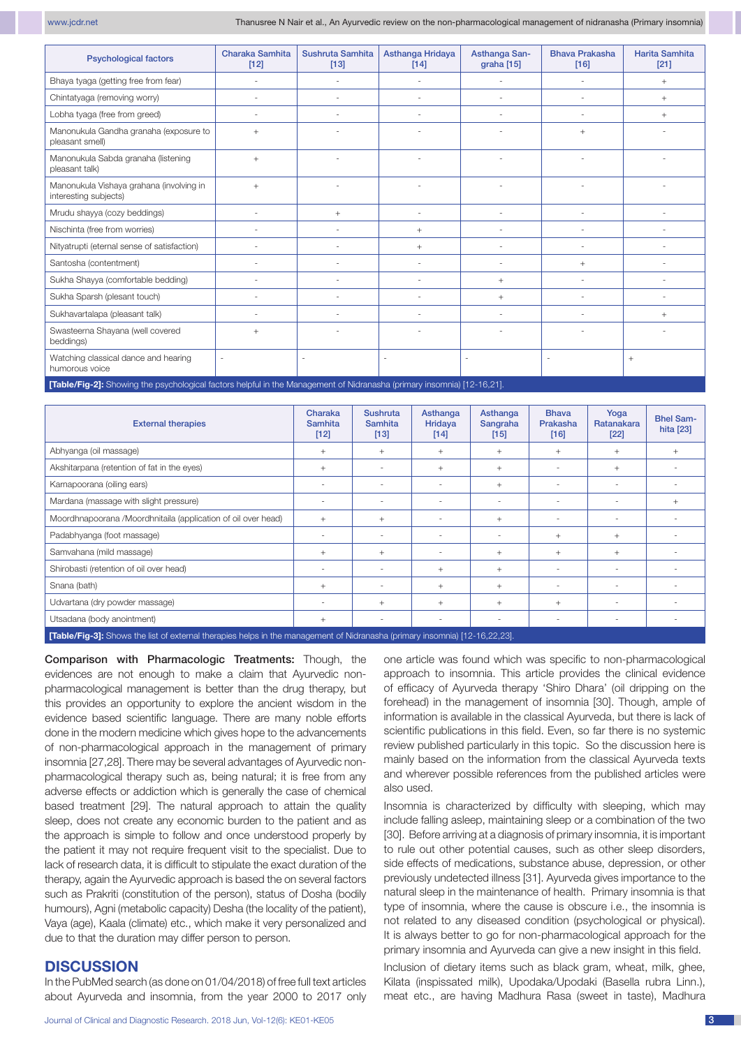| <b>Psychological factors</b>                                                                                            | <b>Charaka Samhita</b><br>$[12]$ | Sushruta Samhita<br>$[13]$ | Asthanga Hridaya<br>[14] | Asthanga San-<br>graha [15] | <b>Bhava Prakasha</b><br>$[16]$ | <b>Harita Samhita</b><br>$[21]$ |  |  |  |  |
|-------------------------------------------------------------------------------------------------------------------------|----------------------------------|----------------------------|--------------------------|-----------------------------|---------------------------------|---------------------------------|--|--|--|--|
| Bhaya tyaga (getting free from fear)                                                                                    |                                  |                            |                          |                             |                                 | $+$                             |  |  |  |  |
| Chintatyaga (removing worry)                                                                                            |                                  | ÷.                         | ٠                        |                             |                                 | $+$                             |  |  |  |  |
| Lobha tyaga (free from greed)                                                                                           |                                  |                            | ÷.                       |                             |                                 | $^{+}$                          |  |  |  |  |
| Manonukula Gandha granaha (exposure to<br>pleasant smell)                                                               | $^{+}$                           |                            |                          |                             | $+$                             |                                 |  |  |  |  |
| Manonukula Sabda granaha (listening<br>pleasant talk)                                                                   | $+$                              |                            |                          |                             |                                 |                                 |  |  |  |  |
| Manonukula Vishaya grahana (involving in<br>interesting subjects)                                                       | $^{+}$                           |                            |                          |                             |                                 |                                 |  |  |  |  |
| Mrudu shayya (cozy beddings)                                                                                            |                                  | $^{+}$                     | ÷.                       |                             |                                 |                                 |  |  |  |  |
| Nischinta (free from worries)                                                                                           |                                  | ÷.                         | $+$                      | $\overline{\phantom{a}}$    |                                 |                                 |  |  |  |  |
| Nityatrupti (eternal sense of satisfaction)                                                                             |                                  |                            | $^{+}$                   | ×.                          |                                 |                                 |  |  |  |  |
| Santosha (contentment)                                                                                                  |                                  |                            | ÷.                       |                             | $+$                             |                                 |  |  |  |  |
| Sukha Shayya (comfortable bedding)                                                                                      |                                  | ٠                          | ٠                        | $+$                         |                                 |                                 |  |  |  |  |
| Sukha Sparsh (plesant touch)                                                                                            |                                  |                            |                          | $+$                         |                                 |                                 |  |  |  |  |
| Sukhavartalapa (pleasant talk)                                                                                          |                                  |                            |                          | ×.                          |                                 | $^{+}$                          |  |  |  |  |
| Swasteerna Shayana (well covered<br>beddings)                                                                           | $^{+}$                           |                            |                          |                             |                                 |                                 |  |  |  |  |
| Watching classical dance and hearing<br>humorous voice                                                                  |                                  |                            | $\overline{\phantom{a}}$ | $\overline{\phantom{a}}$    |                                 | $+$                             |  |  |  |  |
| [Table/Fig-2]: Showing the psychological factors helpful in the Management of Nidranasha (primary insomnia) [12-16,21]. |                                  |                            |                          |                             |                                 |                                 |  |  |  |  |

External therapies Charaka Samhita [12] Sushruta Samhita [13] **Asthanga** Hridaya [14] Asthanga **Sangraha** [15] Bhava Prakasha [16] Yoga Ratanakara [22] Bhel Samhita [23] Abhyanga (oil massage) + + + + + + + Akshitarpana (retention of fat in the eyes)  $+$   $+$   $+$   $+$   $+$   $+$   $+$   $+$   $+$   $+$   $+$ Karnapoorana (oiling ears) - - - + - - - Mardana (massage with slight pressure)  $\begin{vmatrix} 1 & 1 & 1 \\ 1 & 1 & 1 \\ 1 & 1 & 1 \end{vmatrix}$  +  $\begin{vmatrix} 1 & 1 & 1 \\ 1 & 1 & 1 \\ 1 & 1 & 1 \end{vmatrix}$  +  $\begin{vmatrix} 1 & 1 & 1 \\ 1 & 1 & 1 \\ 1 & 1 & 1 \end{vmatrix}$  +  $\begin{vmatrix} 1 & 1 & 1 \\ 1 & 1 & 1 \\ 1 & 1 & 1 \end{vmatrix}$  +  $\begin{vmatrix} 1 &$ Moordhnapoorana /Moordhnitaila (application of oil over head) + + - + - - - Padabhyanga (foot massage)  $\begin{vmatrix} 1 & 1 & 1 \\ 1 & 1 & 1 \\ 1 & 1 & 1 \end{vmatrix}$   $\begin{vmatrix} 1 & 1 & 1 \\ 1 & 1 & 1 \\ 1 & 1 & 1 \end{vmatrix}$   $\begin{vmatrix} 1 & 1 & 1 \\ 1 & 1 & 1 \\ 1 & 1 & 1 \end{vmatrix}$ Samvahana (mild massage)  $+$   $+$   $+$   $+$   $+$   $+$   $+$   $+$   $+$ Shirobasti (retention of oil over head) and the state of the state of the state of the state of the state of the state of the state of the state of the state of the state of the state of the state of the state of the state Snana (bath) | + | - | + | + | - | - | -Udvartana (drv powder massage)  $\begin{vmatrix} 1 & -1 \\ 1 & +1 \end{vmatrix}$  +  $\begin{vmatrix} 1 & +1 \\ + & 1 \end{vmatrix}$  +  $\begin{vmatrix} 1 & +1 \\ + & 1 \end{vmatrix}$  -  $\begin{vmatrix} 1 & -1 \\ - & 1 \end{vmatrix}$ Utsadana (body anointment) + - - - - - -

**[Table/Fig-3]:** Shows the list of external therapies helps in the management of Nidranasha (primary insomnia) [12-16,22,23].

Comparison with Pharmacologic Treatments: Though, the evidences are not enough to make a claim that Ayurvedic nonpharmacological management is better than the drug therapy, but this provides an opportunity to explore the ancient wisdom in the evidence based scientific language. There are many noble efforts done in the modern medicine which gives hope to the advancements of non-pharmacological approach in the management of primary insomnia [27,28]. There may be several advantages of Ayurvedic nonpharmacological therapy such as, being natural; it is free from any adverse effects or addiction which is generally the case of chemical based treatment [29]. The natural approach to attain the quality sleep, does not create any economic burden to the patient and as the approach is simple to follow and once understood properly by the patient it may not require frequent visit to the specialist. Due to lack of research data, it is difficult to stipulate the exact duration of the therapy, again the Ayurvedic approach is based the on several factors such as Prakriti (constitution of the person), status of Dosha (bodily humours), Agni (metabolic capacity) Desha (the locality of the patient), Vaya (age), Kaala (climate) etc., which make it very personalized and due to that the duration may differ person to person.

### **DISCUSSION**

In the PubMed search (as done on 01/04/2018) of free full text articles about Ayurveda and insomnia, from the year 2000 to 2017 only one article was found which was specific to non-pharmacological approach to insomnia. This article provides the clinical evidence of efficacy of Ayurveda therapy 'Shiro Dhara' (oil dripping on the forehead) in the management of insomnia [30]. Though, ample of information is available in the classical Ayurveda, but there is lack of scientific publications in this field. Even, so far there is no systemic review published particularly in this topic. So the discussion here is mainly based on the information from the classical Ayurveda texts and wherever possible references from the published articles were also used.

Insomnia is characterized by difficulty with sleeping, which may include falling asleep, maintaining sleep or a combination of the two [30]. Before arriving at a diagnosis of primary insomnia, it is important to rule out other potential causes, such as other sleep disorders, side effects of medications, substance abuse, depression, or other previously undetected illness [31]. Ayurveda gives importance to the natural sleep in the maintenance of health. Primary insomnia is that type of insomnia, where the cause is obscure i.e., the insomnia is not related to any diseased condition (psychological or physical). It is always better to go for non-pharmacological approach for the primary insomnia and Ayurveda can give a new insight in this field.

Inclusion of dietary items such as black gram, wheat, milk, ghee, Kilata (inspissated milk), Upodaka/Upodaki (Basella rubra Linn.), meat etc., are having Madhura Rasa (sweet in taste), Madhura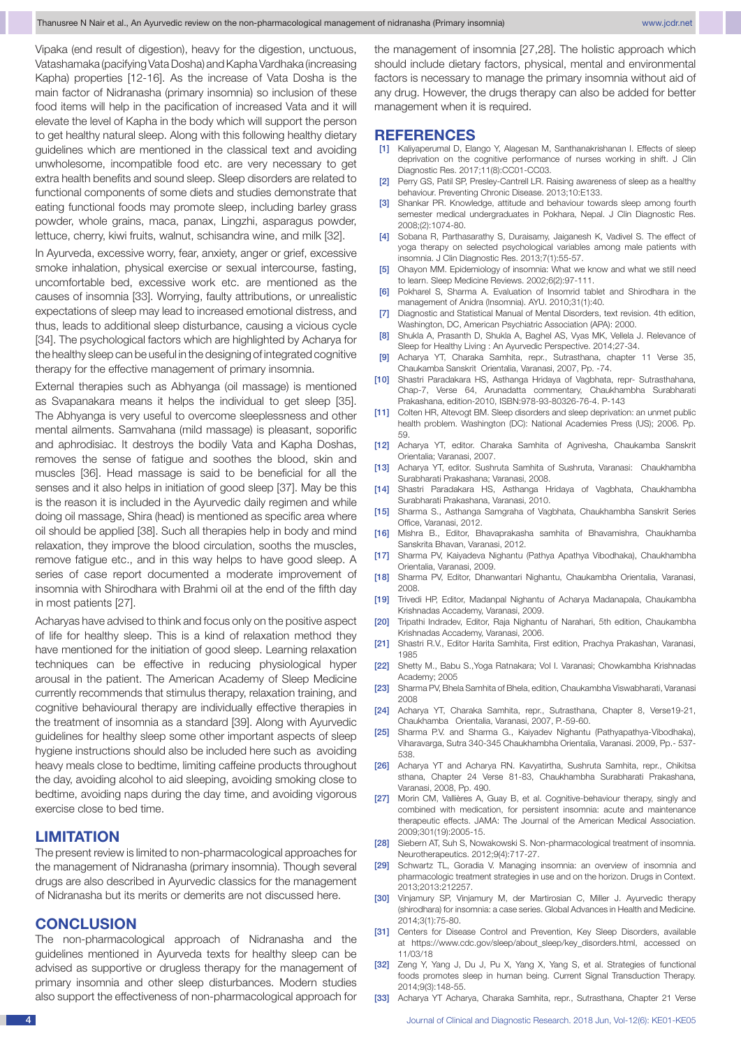Vipaka (end result of digestion), heavy for the digestion, unctuous, Vatashamaka (pacifying Vata Dosha) and Kapha Vardhaka (increasing Kapha) properties [12-16]. As the increase of Vata Dosha is the main factor of Nidranasha (primary insomnia) so inclusion of these food items will help in the pacification of increased Vata and it will elevate the level of Kapha in the body which will support the person to get healthy natural sleep. Along with this following healthy dietary guidelines which are mentioned in the classical text and avoiding unwholesome, incompatible food etc. are very necessary to get extra health benefits and sound sleep. Sleep disorders are related to functional components of some diets and studies demonstrate that eating functional foods may promote sleep, including barley grass powder, whole grains, maca, panax, Lingzhi, asparagus powder, lettuce, cherry, kiwi fruits, walnut, schisandra wine, and milk [32].

In Ayurveda, excessive worry, fear, anxiety, anger or grief, excessive smoke inhalation, physical exercise or sexual intercourse, fasting, uncomfortable bed, excessive work etc. are mentioned as the causes of insomnia [33]. Worrying, faulty attributions, or unrealistic expectations of sleep may lead to increased emotional distress, and thus, leads to additional sleep disturbance, causing a vicious cycle [34]. The psychological factors which are highlighted by Acharya for the healthy sleep can be useful in the designing of integrated cognitive therapy for the effective management of primary insomnia.

External therapies such as Abhyanga (oil massage) is mentioned as Svapanakara means it helps the individual to get sleep [35]. The Abhyanga is very useful to overcome sleeplessness and other mental ailments. Samvahana (mild massage) is pleasant, soporific and aphrodisiac. It destroys the bodily Vata and Kapha Doshas, removes the sense of fatigue and soothes the blood, skin and muscles [36]. Head massage is said to be beneficial for all the senses and it also helps in initiation of good sleep [37]. May be this is the reason it is included in the Ayurvedic daily regimen and while doing oil massage, Shira (head) is mentioned as specific area where oil should be applied [38]. Such all therapies help in body and mind relaxation, they improve the blood circulation, sooths the muscles, remove fatigue etc., and in this way helps to have good sleep. A series of case report documented a moderate improvement of insomnia with Shirodhara with Brahmi oil at the end of the fifth day in most patients [27].

Acharyas have advised to think and focus only on the positive aspect of life for healthy sleep. This is a kind of relaxation method they have mentioned for the initiation of good sleep. Learning relaxation techniques can be effective in reducing physiological hyper arousal in the patient. The American Academy of Sleep Medicine currently recommends that stimulus therapy, relaxation training, and cognitive behavioural therapy are individually effective therapies in the treatment of insomnia as a standard [39]. Along with Ayurvedic guidelines for healthy sleep some other important aspects of sleep hygiene instructions should also be included here such as avoiding heavy meals close to bedtime, limiting caffeine products throughout the day, avoiding alcohol to aid sleeping, avoiding smoking close to bedtime, avoiding naps during the day time, and avoiding vigorous exercise close to bed time.

### **LIMITATION**

The present review is limited to non-pharmacological approaches for the management of Nidranasha (primary insomnia). Though several drugs are also described in Ayurvedic classics for the management of Nidranasha but its merits or demerits are not discussed here.

#### **CONCLUSION**

The non-pharmacological approach of Nidranasha and the guidelines mentioned in Ayurveda texts for healthy sleep can be advised as supportive or drugless therapy for the management of primary insomnia and other sleep disturbances. Modern studies also support the effectiveness of non-pharmacological approach for the management of insomnia [27,28]. The holistic approach which should include dietary factors, physical, mental and environmental factors is necessary to manage the primary insomnia without aid of any drug. However, the drugs therapy can also be added for better management when it is required.

#### **REFERENCES**

- [1] Kaliyaperumal D, Elango Y, Alagesan M, Santhanakrishanan I. Effects of sleep deprivation on the cognitive performance of nurses working in shift. J Clin Diagnostic Res. 2017;11(8):CC01-CC03.
- [2] Perry GS, Patil SP, Presley-Cantrell LR. Raising awareness of sleep as a healthy behaviour. Preventing Chronic Disease. 2013;10:E133.
- [3] Shankar PR. Knowledge, attitude and behaviour towards sleep among fourth semester medical undergraduates in Pokhara, Nepal. J Clin Diagnostic Res. 2008;(2):1074-80.
- [4] Sobana R, Parthasarathy S, Duraisamy, Jaiganesh K, Vadivel S. The effect of yoga therapy on selected psychological variables among male patients with insomnia. J Clin Diagnostic Res. 2013;7(1):55-57.
- [5] Ohayon MM. Epidemiology of insomnia: What we know and what we still need to learn. Sleep Medicine Reviews. 2002;6(2):97-111.
- [6] Pokharel S, Sharma A. Evaluation of Insomrid tablet and Shirodhara in the management of Anidra (Insomnia). AYU. 2010;31(1):40.
- [7] Diagnostic and Statistical Manual of Mental Disorders, text revision. 4th edition, Washington, DC, American Psychiatric Association (APA): 2000.
- [8] Shukla A, Prasanth D, Shukla A, Baghel AS, Vyas MK, Vellela J. Relevance of Sleep for Healthy Living : An Ayurvedic Perspective. 2014;27-34.
- [9] Acharya YT, Charaka Samhita, repr., Sutrasthana, chapter 11 Verse 35, Chaukamba Sanskrit Orientalia, Varanasi, 2007, Pp. -74.
- [10] Shastri Paradakara HS, Asthanga Hridaya of Vagbhata, repr- Sutrasthahana, Chap-7, Verse 64, Arunadatta commentary, Chaukhambha Surabharati Prakashana, edition-2010, ISBN:978-93-80326-76-4. P-143
- [11] Colten HR, Altevogt BM. Sleep disorders and sleep deprivation: an unmet public health problem. Washington (DC): National Academies Press (US); 2006. Pp. 59.
- [12] Acharya YT, editor. Charaka Samhita of Agnivesha, Chaukamba Sanskrit Orientalia; Varanasi, 2007.
- [13] Acharya YT, editor. Sushruta Samhita of Sushruta, Varanasi: Chaukhambha Surabharati Prakashana; Varanasi, 2008.
- [14] Shastri Paradakara HS, Asthanga Hridaya of Vagbhata, Chaukhambha Surabharati Prakashana, Varanasi, 2010.
- [15] Sharma S., Asthanga Samgraha of Vagbhata, Chaukhambha Sanskrit Series Office, Varanasi, 2012.
- [16] Mishra B., Editor, Bhavaprakasha samhita of Bhavamishra, Chaukhamba Sanskrita Bhavan, Varanasi, 2012.
- [17] Sharma PV, Kaiyadeva Nighantu (Pathya Apathya Vibodhaka), Chaukhambha Orientalia, Varanasi, 2009.
- [18] Sharma PV, Editor, Dhanwantari Nighantu, Chaukambha Orientalia, Varanasi, 2008.
- [19] Trivedi HP, Editor, Madanpal Nighantu of Acharya Madanapala, Chaukambha Krishnadas Accademy, Varanasi, 2009.
- [20] Tripathi Indradev, Editor, Raja Nighantu of Narahari, 5th edition, Chaukambha Krishnadas Accademy, Varanasi, 2006.
- [21] Shastri R.V., Editor Harita Samhita, First edition, Prachya Prakashan, Varanasi, 1985
- [22] Shetty M., Babu S.,Yoga Ratnakara; Vol I. Varanasi; Chowkambha Krishnadas Academy; 2005
- [23] Sharma PV, Bhela Samhita of Bhela, edition, Chaukambha Viswabharati, Varanasi 2008
- [24] Acharya YT, Charaka Samhita, repr., Sutrasthana, Chapter 8, Verse19-21, Chaukhamba Orientalia, Varanasi, 2007, P.-59-60.
- [25] Sharma P.V. and Sharma G., Kaiyadev Nighantu (Pathyapathya-Vibodhaka), Viharavarga, Sutra 340-345 Chaukhambha Orientalia, Varanasi. 2009, Pp.- 537- 538.
- [26] Acharya YT and Acharya RN. Kavyatirtha, Sushruta Samhita, repr., Chikitsa sthana, Chapter 24 Verse 81-83, Chaukhambha Surabharati Prakashana, Varanasi, 2008, Pp. 490.
- [27] Morin CM, Vallières A, Guay B, et al. Cognitive-behaviour therapy, singly and combined with medication, for persistent insomnia: acute and maintenance therapeutic effects. JAMA: The Journal of the American Medical Association. 2009;301(19):2005-15.
- [28] Siebern AT, Suh S, Nowakowski S. Non-pharmacological treatment of insomnia. Neurotherapeutics. 2012;9(4):717-27.
- [29] Schwartz TL, Goradia V. Managing insomnia: an overview of insomnia and pharmacologic treatment strategies in use and on the horizon. Drugs in Context. 2013;2013:212257.
- [30] Vinjamury SP, Vinjamury M, der Martirosian C, Miller J. Ayurvedic therapy (shirodhara) for insomnia: a case series. Global Advances in Health and Medicine. 2014;3(1):75-80.
- [31] Centers for Disease Control and Prevention, Key Sleep Disorders, available at https://www.cdc.gov/sleep/about\_sleep/key\_disorders.html, accessed on 11/03/18
- [32] Zeng Y, Yang J, Du J, Pu X, Yang X, Yang S, et al. Strategies of functional foods promotes sleep in human being. Current Signal Transduction Therapy. 2014;9(3):148-55.
- [33] Acharya YT Acharya, Charaka Samhita, repr., Sutrasthana, Chapter 21 Verse